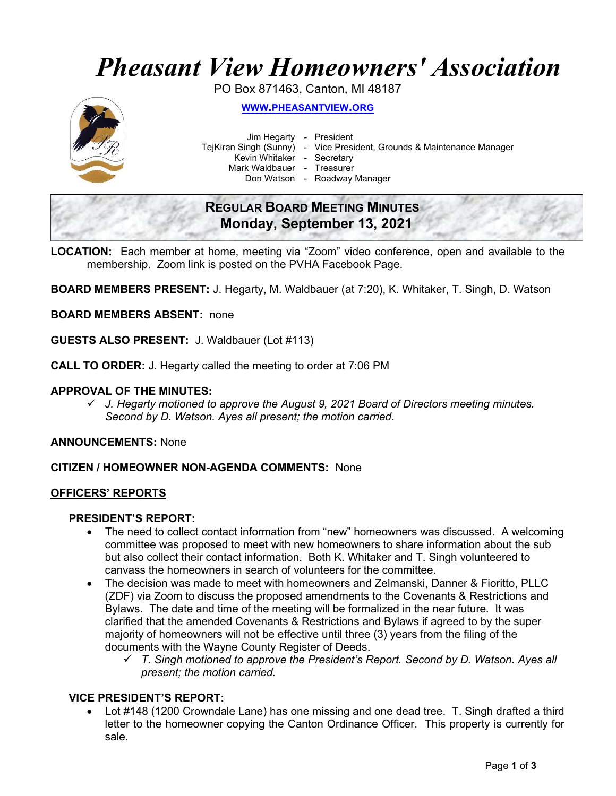## Pheasant View Homeowners' Association

PO Box 871463, Canton, MI 48187



WWW.PHEASANTVIEW.ORG

Jim Hegarty - President

TejKiran Singh (Sunny) - Vice President, Grounds & Maintenance Manager

Kevin Whitaker - Secretary

Mark Waldbauer - Treasurer

Don Watson - Roadway Manager

### REGULAR BOARD MEETING MINUTES Monday, September 13, 2021

- LOCATION: Each member at home, meeting via "Zoom" video conference, open and available to the membership. Zoom link is posted on the PVHA Facebook Page.
- BOARD MEMBERS PRESENT: J. Hegarty, M. Waldbauer (at 7:20), K. Whitaker, T. Singh, D. Watson

BOARD MEMBERS ABSENT: none

GUESTS ALSO PRESENT: J. Waldbauer (Lot #113)

CALL TO ORDER: J. Hegarty called the meeting to order at 7:06 PM

#### APPROVAL OF THE MINUTES:

 $\checkmark$  J. Hegarty motioned to approve the August 9, 2021 Board of Directors meeting minutes. Second by D. Watson. Ayes all present; the motion carried.

ANNOUNCEMENTS: None

#### CITIZEN / HOMEOWNER NON-AGENDA COMMENTS: None

#### OFFICERS' REPORTS

#### PRESIDENT'S REPORT:

- The need to collect contact information from "new" homeowners was discussed. A welcoming committee was proposed to meet with new homeowners to share information about the sub but also collect their contact information. Both K. Whitaker and T. Singh volunteered to canvass the homeowners in search of volunteers for the committee.
- The decision was made to meet with homeowners and Zelmanski, Danner & Fioritto, PLLC (ZDF) via Zoom to discuss the proposed amendments to the Covenants & Restrictions and Bylaws. The date and time of the meeting will be formalized in the near future. It was clarified that the amended Covenants & Restrictions and Bylaws if agreed to by the super majority of homeowners will not be effective until three (3) years from the filing of the documents with the Wayne County Register of Deeds.
	- $\checkmark$  T. Singh motioned to approve the President's Report. Second by D. Watson. Ayes all present; the motion carried.

#### VICE PRESIDENT'S REPORT:

 Lot #148 (1200 Crowndale Lane) has one missing and one dead tree. T. Singh drafted a third letter to the homeowner copying the Canton Ordinance Officer. This property is currently for sale.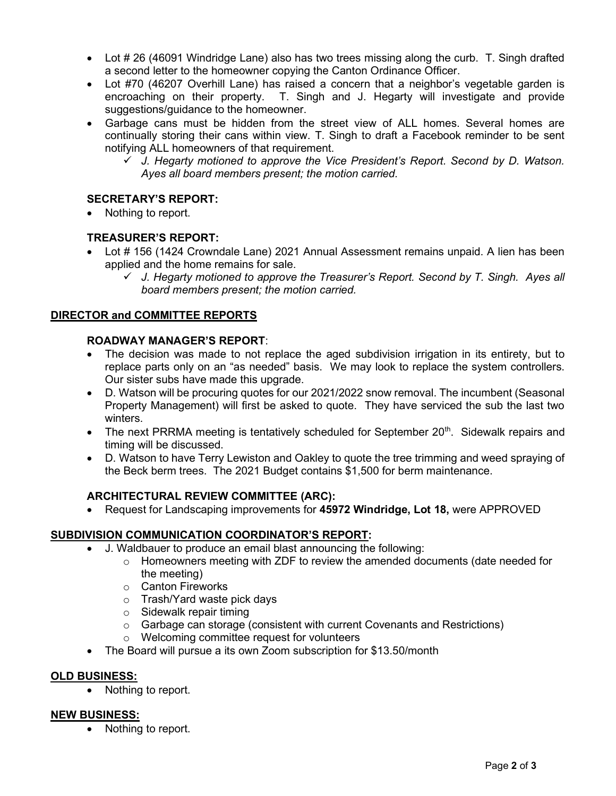- Lot # 26 (46091 Windridge Lane) also has two trees missing along the curb. T. Singh drafted a second letter to the homeowner copying the Canton Ordinance Officer.
- Lot #70 (46207 Overhill Lane) has raised a concern that a neighbor's vegetable garden is encroaching on their property. T. Singh and J. Hegarty will investigate and provide suggestions/guidance to the homeowner.
- Garbage cans must be hidden from the street view of ALL homes. Several homes are continually storing their cans within view. T. Singh to draft a Facebook reminder to be sent notifying ALL homeowners of that requirement.
	- $\checkmark$  J. Hegarty motioned to approve the Vice President's Report. Second by D. Watson. Ayes all board members present; the motion carried.

#### SECRETARY'S REPORT:

Nothing to report.

#### TREASURER'S REPORT:

- Lot # 156 (1424 Crowndale Lane) 2021 Annual Assessment remains unpaid. A lien has been applied and the home remains for sale.
	- $\checkmark$  J. Hegarty motioned to approve the Treasurer's Report. Second by T. Singh. Ayes all board members present; the motion carried.

#### DIRECTOR and COMMITTEE REPORTS

#### ROADWAY MANAGER'S REPORT:

- The decision was made to not replace the aged subdivision irrigation in its entirety, but to replace parts only on an "as needed" basis. We may look to replace the system controllers. Our sister subs have made this upgrade.
- D. Watson will be procuring quotes for our 2021/2022 snow removal. The incumbent (Seasonal Property Management) will first be asked to quote. They have serviced the sub the last two winters.
- The next PRRMA meeting is tentatively scheduled for September 20<sup>th</sup>. Sidewalk repairs and timing will be discussed.
- D. Watson to have Terry Lewiston and Oakley to quote the tree trimming and weed spraying of the Beck berm trees. The 2021 Budget contains \$1,500 for berm maintenance.

#### ARCHITECTURAL REVIEW COMMITTEE (ARC):

Request for Landscaping improvements for 45972 Windridge, Lot 18, were APPROVED

#### SUBDIVISION COMMUNICATION COORDINATOR'S REPORT:

- J. Waldbauer to produce an email blast announcing the following:
	- $\circ$  Homeowners meeting with ZDF to review the amended documents (date needed for the meeting)
	- o Canton Fireworks
	- o Trash/Yard waste pick days
	- $\circ$  Sidewalk repair timing
	- o Garbage can storage (consistent with current Covenants and Restrictions)
	- o Welcoming committee request for volunteers
- The Board will pursue a its own Zoom subscription for \$13.50/month

#### OLD BUSINESS:

• Nothing to report.

#### NEW BUSINESS:

• Nothing to report.